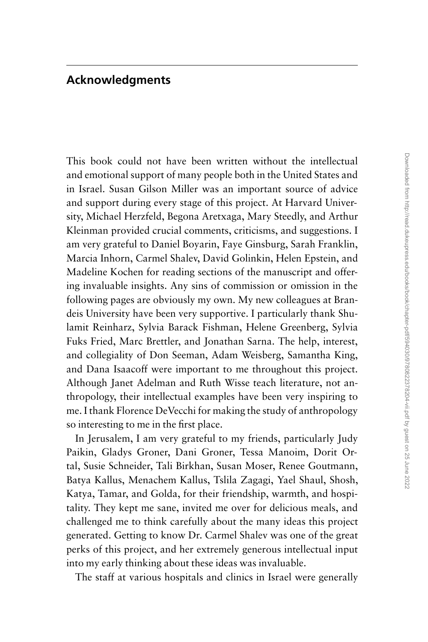## **Acknowledgments**

This book could not have been written without the intellectual and emotional support of many people both in the United States and in Israel. Susan Gilson Miller was an important source of advice and support during every stage of this project. At Harvard University, Michael Herzfeld, Begona Aretxaga, Mary Steedly, and Arthur Kleinman provided crucial comments, criticisms, and suggestions. I am very grateful to Daniel Boyarin, Faye Ginsburg, Sarah Franklin, Marcia Inhorn, Carmel Shalev, David Golinkin, Helen Epstein, and Madeline Kochen for reading sections of the manuscript and offering invaluable insights. Any sins of commission or omission in the following pages are obviously my own. My new colleagues at Brandeis University have been very supportive. I particularly thank Shulamit Reinharz, Sylvia Barack Fishman, Helene Greenberg, Sylvia Fuks Fried, Marc Brettler, and Jonathan Sarna. The help, interest, and collegiality of Don Seeman, Adam Weisberg, Samantha King, and Dana Isaacoff were important to me throughout this project. Although Janet Adelman and Ruth Wisse teach literature, not anthropology, their intellectual examples have been very inspiring to me. I thank Florence DeVecchi for making the study of anthropology so interesting to me in the first place.

In Jerusalem, I am very grateful to my friends, particularly Judy Paikin, Gladys Groner, Dani Groner, Tessa Manoim, Dorit Ortal, Susie Schneider, Tali Birkhan, Susan Moser, Renee Goutmann, Batya Kallus, Menachem Kallus, Tslila Zagagi, Yael Shaul, Shosh, Katya, Tamar, and Golda, for their friendship, warmth, and hospitality. They kept me sane, invited me over for delicious meals, and challenged me to think carefully about the many ideas this project generated. Getting to know Dr. Carmel Shalev was one of the great perks of this project, and her extremely generous intellectual input into my early thinking about these ideas was invaluable.

The staff at various hospitals and clinics in Israel were generally